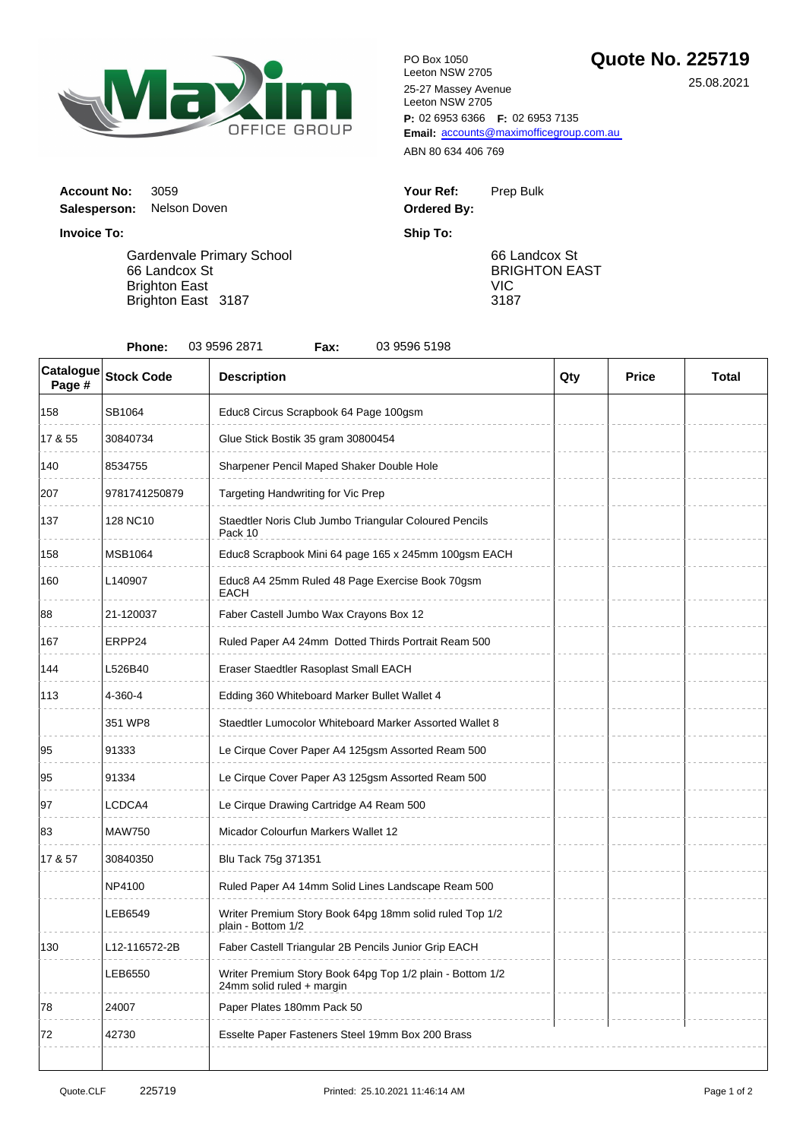

**P:** 02 6953 6366 **F:** 02 6953 7135 Email: [accou](mailto:accounts@maximofficegroup.com.au)nts@maximofficegroup.com.au PO Box 1050 Leeton NSW 2705 25-27 Massey Avenue Leeton NSW 2705

ABN 80 634 406 769

| Your Ref:          | Prep Bulk |
|--------------------|-----------|
| <b>Ordered By:</b> |           |

66 Landcox St BRIGHTON EAST VIC 3187

**Salesperson:** Nelson Doven **Invoice To: Ship To:**

**Account No: 3059** 

Gardenvale Primary School 66 Landcox St Brighton East Brighton East 3187

| 03 9596 2871<br>03 9596 5198<br>Phone:<br>Fax: |                   |                                                                                        |     |              |              |  |  |  |
|------------------------------------------------|-------------------|----------------------------------------------------------------------------------------|-----|--------------|--------------|--|--|--|
| Catalogue<br>Page #                            | <b>Stock Code</b> | <b>Description</b>                                                                     | Qty | <b>Price</b> | <b>Total</b> |  |  |  |
| 158                                            | SB1064            | Educ8 Circus Scrapbook 64 Page 100gsm                                                  |     |              |              |  |  |  |
| 17 & 55                                        | 30840734          | Glue Stick Bostik 35 gram 30800454                                                     |     |              |              |  |  |  |
| 140                                            | 8534755           | Sharpener Pencil Maped Shaker Double Hole                                              |     |              |              |  |  |  |
| 207                                            | 9781741250879     | Targeting Handwriting for Vic Prep                                                     |     |              |              |  |  |  |
| 137                                            | 128 NC10          | Staedtler Noris Club Jumbo Triangular Coloured Pencils<br>Pack 10                      |     |              |              |  |  |  |
| 158                                            | <b>MSB1064</b>    | Educ8 Scrapbook Mini 64 page 165 x 245mm 100gsm EACH                                   |     |              |              |  |  |  |
| 160                                            | L140907           | Educ8 A4 25mm Ruled 48 Page Exercise Book 70gsm<br>EACH                                |     |              |              |  |  |  |
| 88                                             | 21-120037         | Faber Castell Jumbo Wax Crayons Box 12                                                 |     |              |              |  |  |  |
| 167                                            | ERPP24            | Ruled Paper A4 24mm Dotted Thirds Portrait Ream 500                                    |     |              |              |  |  |  |
| 144                                            | L526B40           | Eraser Staedtler Rasoplast Small EACH                                                  |     |              |              |  |  |  |
| 113                                            | 4-360-4           | Edding 360 Whiteboard Marker Bullet Wallet 4                                           |     |              |              |  |  |  |
|                                                | 351 WP8           | Staedtler Lumocolor Whiteboard Marker Assorted Wallet 8                                |     |              |              |  |  |  |
| 95                                             | 91333             | Le Cirque Cover Paper A4 125gsm Assorted Ream 500                                      |     |              |              |  |  |  |
| 95                                             | 91334             | Le Cirque Cover Paper A3 125gsm Assorted Ream 500                                      |     |              |              |  |  |  |
| 97                                             | LCDCA4            | Le Cirque Drawing Cartridge A4 Ream 500                                                |     |              |              |  |  |  |
| 83                                             | <b>MAW750</b>     | Micador Colourfun Markers Wallet 12                                                    |     |              |              |  |  |  |
| 17 & 57                                        | 30840350          | Blu Tack 75g 371351                                                                    |     |              |              |  |  |  |
|                                                | NP4100            | Ruled Paper A4 14mm Solid Lines Landscape Ream 500                                     |     |              |              |  |  |  |
|                                                | LEB6549           | Writer Premium Story Book 64pg 18mm solid ruled Top 1/2<br>plain - Bottom 1/2          |     |              |              |  |  |  |
| 130                                            | L12-116572-2B     | Faber Castell Triangular 2B Pencils Junior Grip EACH                                   |     |              |              |  |  |  |
|                                                | LEB6550           | Writer Premium Story Book 64pg Top 1/2 plain - Bottom 1/2<br>24mm solid ruled + margin |     |              |              |  |  |  |
| 78                                             | 24007             | Paper Plates 180mm Pack 50                                                             |     |              |              |  |  |  |
| 72                                             | 42730             | Esselte Paper Fasteners Steel 19mm Box 200 Brass                                       |     |              |              |  |  |  |

25.08.2021